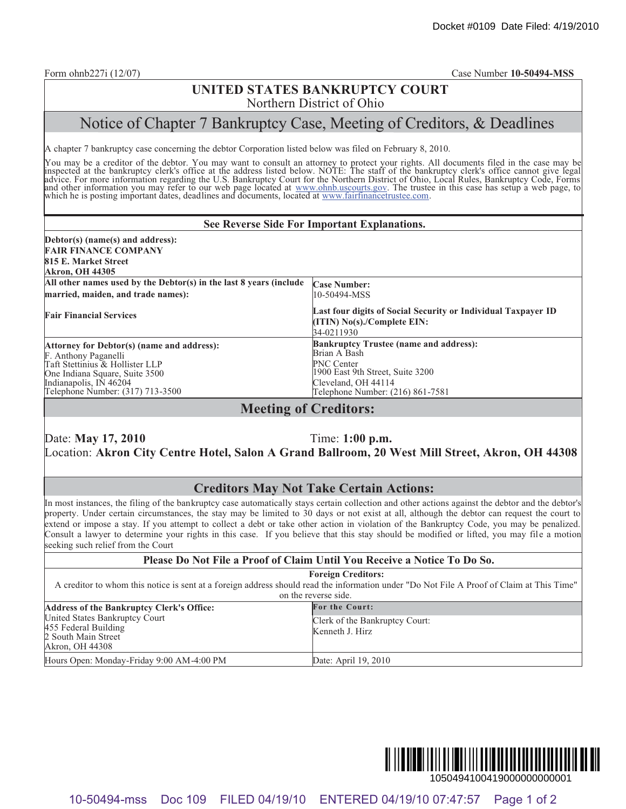#### **UNITED STATES BANKRUPTCY COURT** Northern District of Ohio

# Notice of Chapter 7 Bankruptcy Case, Meeting of Creditors, & Deadlines

#### **See Reverse Side For Important Explanations.**

| A chapter 7 bankruptcy case concerning the debtor Corporation listed below was filed on February 8, 2010.                                                                                  | Northern District of Ohio<br>Notice of Chapter 7 Bankruptcy Case, Meeting of Creditors, & Deadlines                                                                                                                                                                                                                                                                                                                                                                                                                                                                                                                                          |
|--------------------------------------------------------------------------------------------------------------------------------------------------------------------------------------------|----------------------------------------------------------------------------------------------------------------------------------------------------------------------------------------------------------------------------------------------------------------------------------------------------------------------------------------------------------------------------------------------------------------------------------------------------------------------------------------------------------------------------------------------------------------------------------------------------------------------------------------------|
|                                                                                                                                                                                            |                                                                                                                                                                                                                                                                                                                                                                                                                                                                                                                                                                                                                                              |
|                                                                                                                                                                                            |                                                                                                                                                                                                                                                                                                                                                                                                                                                                                                                                                                                                                                              |
|                                                                                                                                                                                            |                                                                                                                                                                                                                                                                                                                                                                                                                                                                                                                                                                                                                                              |
|                                                                                                                                                                                            | You may be a creditor of the debtor. You may want to consult an attorney to protect your rights. All documents filed in the case may be<br>inspected at the bankruptcy clerk's office at the address listed below. NOTE: The staf                                                                                                                                                                                                                                                                                                                                                                                                            |
|                                                                                                                                                                                            | See Reverse Side For Important Explanations.                                                                                                                                                                                                                                                                                                                                                                                                                                                                                                                                                                                                 |
| Debtor(s) (name(s) and address):<br><b>FAIR FINANCE COMPANY</b><br>815 E. Market Street<br><b>Akron, OH 44305</b>                                                                          |                                                                                                                                                                                                                                                                                                                                                                                                                                                                                                                                                                                                                                              |
| All other names used by the Debtor(s) in the last 8 years (include<br>married, maiden, and trade names):                                                                                   | <b>Case Number:</b><br>10-50494-MSS                                                                                                                                                                                                                                                                                                                                                                                                                                                                                                                                                                                                          |
| <b>Fair Financial Services</b>                                                                                                                                                             | Last four digits of Social Security or Individual Taxpayer ID<br>(ITIN) No(s)./Complete EIN:<br>34-0211930                                                                                                                                                                                                                                                                                                                                                                                                                                                                                                                                   |
| Attorney for Debtor(s) (name and address):<br>F. Anthony Paganelli<br>Taft Stettinius & Hollister LLP<br>One Indiana Square, Suite 3500                                                    | <b>Bankruptcy Trustee (name and address):</b><br><b>Brian A Bash</b><br>PNC Center<br>1900 East 9th Street, Suite 3200                                                                                                                                                                                                                                                                                                                                                                                                                                                                                                                       |
|                                                                                                                                                                                            | Cleveland, OH 44114                                                                                                                                                                                                                                                                                                                                                                                                                                                                                                                                                                                                                          |
| Indianapolis, IN 46204<br>Telephone Number: (317) 713-3500<br>Date: May 17, 2010                                                                                                           | Telephone Number: (216) 861-7581<br><b>Meeting of Creditors:</b><br>Time: 1:00 p.m.                                                                                                                                                                                                                                                                                                                                                                                                                                                                                                                                                          |
|                                                                                                                                                                                            | Location: Akron City Centre Hotel, Salon A Grand Ballroom, 20 West Mill Street, Akron, OH 44308                                                                                                                                                                                                                                                                                                                                                                                                                                                                                                                                              |
|                                                                                                                                                                                            | <b>Creditors May Not Take Certain Actions:</b><br>In most instances, the filing of the bankruptcy case automatically stays certain collection and other actions against the debtor and the debtor's<br>property. Under certain circumstances, the stay may be limited to 30 days or not exist at all, although the debtor can request the court to<br>extend or impose a stay. If you attempt to collect a debt or take other action in violation of the Bankruptcy Code, you may be penalized.<br>Consult a lawyer to determine your rights in this case. If you believe that this stay should be modified or lifted, you may file a motion |
|                                                                                                                                                                                            | Please Do Not File a Proof of Claim Until You Receive a Notice To Do So.                                                                                                                                                                                                                                                                                                                                                                                                                                                                                                                                                                     |
|                                                                                                                                                                                            | <b>Foreign Creditors:</b><br>A creditor to whom this notice is sent at a foreign address should read the information under "Do Not File A Proof of Claim at This Time"<br>on the reverse side.                                                                                                                                                                                                                                                                                                                                                                                                                                               |
|                                                                                                                                                                                            | <b>For the Court:</b>                                                                                                                                                                                                                                                                                                                                                                                                                                                                                                                                                                                                                        |
| seeking such relief from the Court<br><b>Address of the Bankruptcy Clerk's Office:</b><br>United States Bankruptcy Court<br>455 Federal Building<br>2 South Main Street<br>Akron, OH 44308 | Clerk of the Bankruptcy Court:<br>Kenneth J. Hirz                                                                                                                                                                                                                                                                                                                                                                                                                                                                                                                                                                                            |

### **Meeting of Creditors:**

#### **Creditors May Not Take Certain Actions:**

| Please Do Not File a Proof of Claim Until You Receive a Notice To Do So.                                                                                                                       |                                                                     |  |
|------------------------------------------------------------------------------------------------------------------------------------------------------------------------------------------------|---------------------------------------------------------------------|--|
| <b>Foreign Creditors:</b><br>A creditor to whom this notice is sent at a foreign address should read the information under "Do Not File A Proof of Claim at This Time"<br>on the reverse side. |                                                                     |  |
| <b>Address of the Bankruptcy Clerk's Office:</b><br>United States Bankruptcy Court<br>455 Federal Building<br>2 South Main Street<br>Akron, OH 44308                                           | For the Court:<br>Clerk of the Bankruptcy Court:<br>Kenneth J. Hirz |  |
| Hours Open: Monday-Friday 9:00 AM-4:00 PM                                                                                                                                                      | Date: April 19, 2010                                                |  |